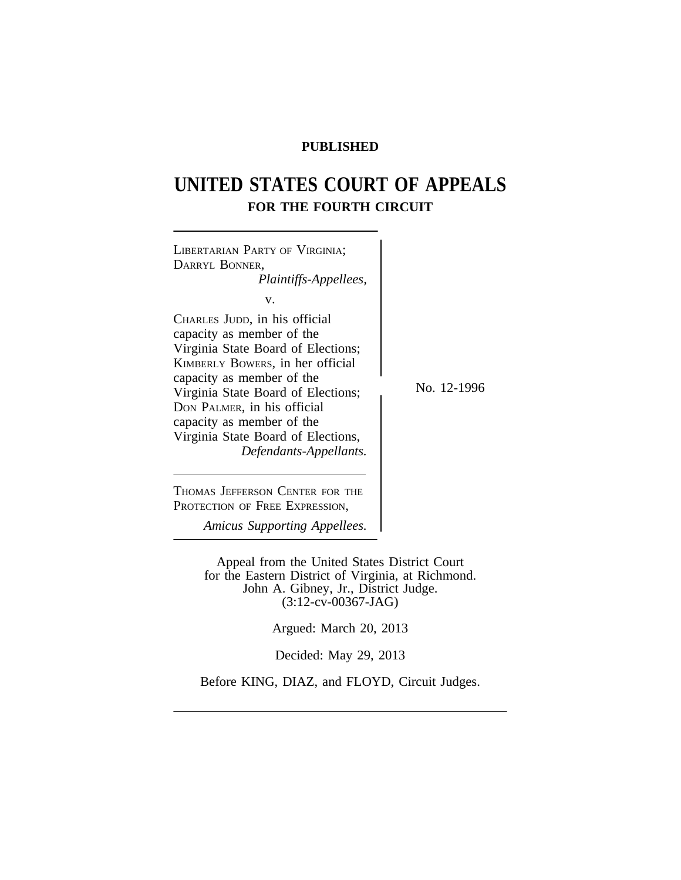# **PUBLISHED**

# **UNITED STATES COURT OF APPEALS FOR THE FOURTH CIRCUIT**



Appeal from the United States District Court for the Eastern District of Virginia, at Richmond. John A. Gibney, Jr., District Judge. (3:12-cv-00367-JAG)

Argued: March 20, 2013

Decided: May 29, 2013

Before KING, DIAZ, and FLOYD, Circuit Judges.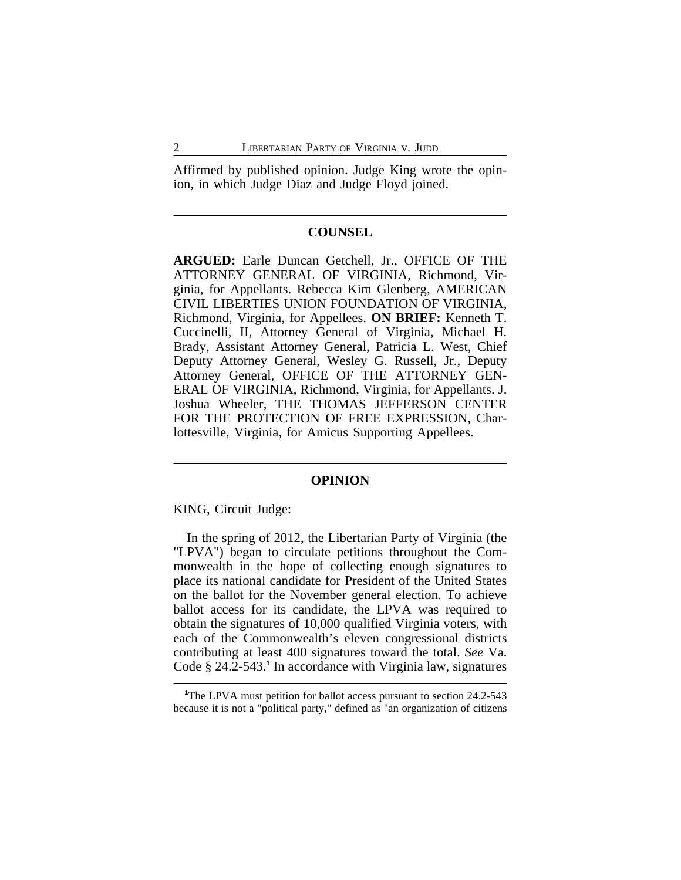Affirmed by published opinion. Judge King wrote the opinion, in which Judge Diaz and Judge Floyd joined.

## **COUNSEL**

**ARGUED:** Earle Duncan Getchell, Jr., OFFICE OF THE ATTORNEY GENERAL OF VIRGINIA, Richmond, Virginia, for Appellants. Rebecca Kim Glenberg, AMERICAN CIVIL LIBERTIES UNION FOUNDATION OF VIRGINIA, Richmond, Virginia, for Appellees. **ON BRIEF:** Kenneth T. Cuccinelli, II, Attorney General of Virginia, Michael H. Brady, Assistant Attorney General, Patricia L. West, Chief Deputy Attorney General, Wesley G. Russell, Jr., Deputy Attorney General, OFFICE OF THE ATTORNEY GEN-ERAL OF VIRGINIA, Richmond, Virginia, for Appellants. J. Joshua Wheeler, THE THOMAS JEFFERSON CENTER FOR THE PROTECTION OF FREE EXPRESSION, Charlottesville, Virginia, for Amicus Supporting Appellees.

#### **OPINION**

KING, Circuit Judge:

In the spring of 2012, the Libertarian Party of Virginia (the "LPVA") began to circulate petitions throughout the Commonwealth in the hope of collecting enough signatures to place its national candidate for President of the United States on the ballot for the November general election. To achieve ballot access for its candidate, the LPVA was required to obtain the signatures of 10,000 qualified Virginia voters, with each of the Commonwealth's eleven congressional districts contributing at least 400 signatures toward the total. *See* Va. Code § 24.2-543.<sup>1</sup> In accordance with Virginia law, signatures

<sup>&</sup>lt;sup>1</sup>The LPVA must petition for ballot access pursuant to section 24.2-543 because it is not a "political party," defined as "an organization of citizens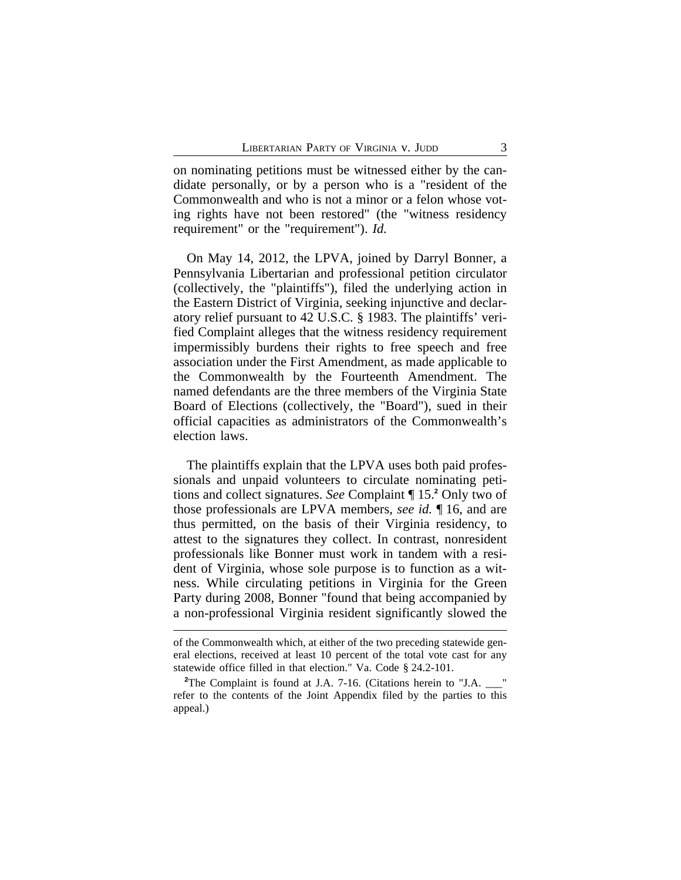on nominating petitions must be witnessed either by the candidate personally, or by a person who is a "resident of the Commonwealth and who is not a minor or a felon whose voting rights have not been restored" (the "witness residency requirement" or the "requirement"). *Id.*

On May 14, 2012, the LPVA, joined by Darryl Bonner, a Pennsylvania Libertarian and professional petition circulator (collectively, the "plaintiffs"), filed the underlying action in the Eastern District of Virginia, seeking injunctive and declaratory relief pursuant to 42 U.S.C. § 1983. The plaintiffs' verified Complaint alleges that the witness residency requirement impermissibly burdens their rights to free speech and free association under the First Amendment, as made applicable to the Commonwealth by the Fourteenth Amendment. The named defendants are the three members of the Virginia State Board of Elections (collectively, the "Board"), sued in their official capacities as administrators of the Commonwealth's election laws.

The plaintiffs explain that the LPVA uses both paid professionals and unpaid volunteers to circulate nominating petitions and collect signatures. *See* Complaint ¶ 15.**<sup>2</sup>** Only two of those professionals are LPVA members, *see id.* ¶ 16, and are thus permitted, on the basis of their Virginia residency, to attest to the signatures they collect. In contrast, nonresident professionals like Bonner must work in tandem with a resident of Virginia, whose sole purpose is to function as a witness. While circulating petitions in Virginia for the Green Party during 2008, Bonner "found that being accompanied by a non-professional Virginia resident significantly slowed the

of the Commonwealth which, at either of the two preceding statewide general elections, received at least 10 percent of the total vote cast for any statewide office filled in that election." Va. Code § 24.2-101.

<sup>&</sup>lt;sup>2</sup>The Complaint is found at J.A. 7-16. (Citations herein to "J.A. refer to the contents of the Joint Appendix filed by the parties to this appeal.)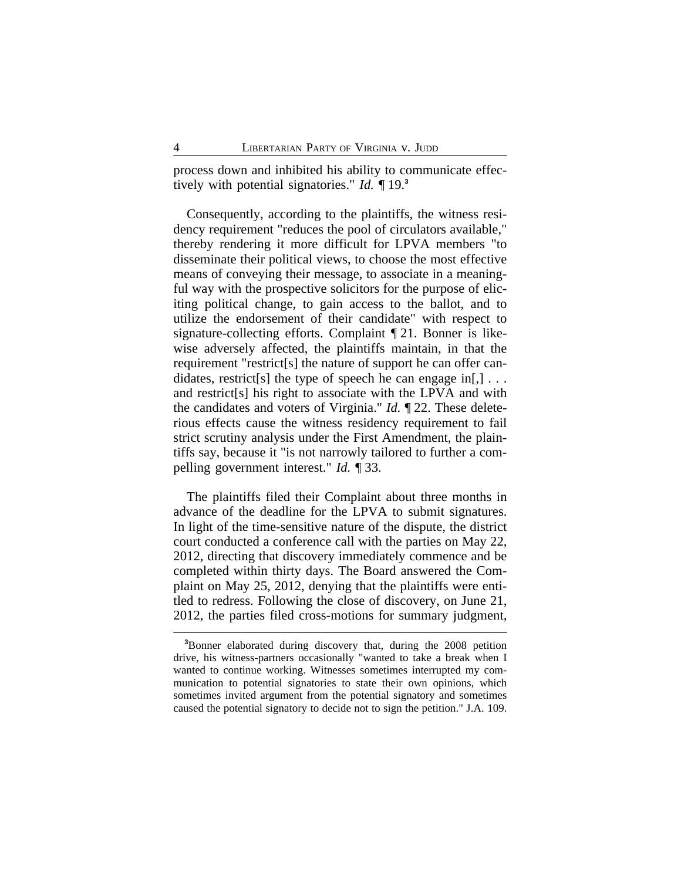process down and inhibited his ability to communicate effectively with potential signatories." *Id.* ¶ 19.**<sup>3</sup>**

Consequently, according to the plaintiffs, the witness residency requirement "reduces the pool of circulators available," thereby rendering it more difficult for LPVA members "to disseminate their political views, to choose the most effective means of conveying their message, to associate in a meaningful way with the prospective solicitors for the purpose of eliciting political change, to gain access to the ballot, and to utilize the endorsement of their candidate" with respect to signature-collecting efforts. Complaint ¶ 21. Bonner is likewise adversely affected, the plaintiffs maintain, in that the requirement "restrict[s] the nature of support he can offer candidates, restrict[s] the type of speech he can engage in[,]  $\ldots$ and restrict[s] his right to associate with the LPVA and with the candidates and voters of Virginia." *Id.* ¶ 22. These deleterious effects cause the witness residency requirement to fail strict scrutiny analysis under the First Amendment, the plaintiffs say, because it "is not narrowly tailored to further a compelling government interest." *Id.* ¶ 33.

The plaintiffs filed their Complaint about three months in advance of the deadline for the LPVA to submit signatures. In light of the time-sensitive nature of the dispute, the district court conducted a conference call with the parties on May 22, 2012, directing that discovery immediately commence and be completed within thirty days. The Board answered the Complaint on May 25, 2012, denying that the plaintiffs were entitled to redress. Following the close of discovery, on June 21, 2012, the parties filed cross-motions for summary judgment,

**<sup>3</sup>**Bonner elaborated during discovery that, during the 2008 petition drive, his witness-partners occasionally "wanted to take a break when I wanted to continue working. Witnesses sometimes interrupted my communication to potential signatories to state their own opinions, which sometimes invited argument from the potential signatory and sometimes caused the potential signatory to decide not to sign the petition." J.A. 109.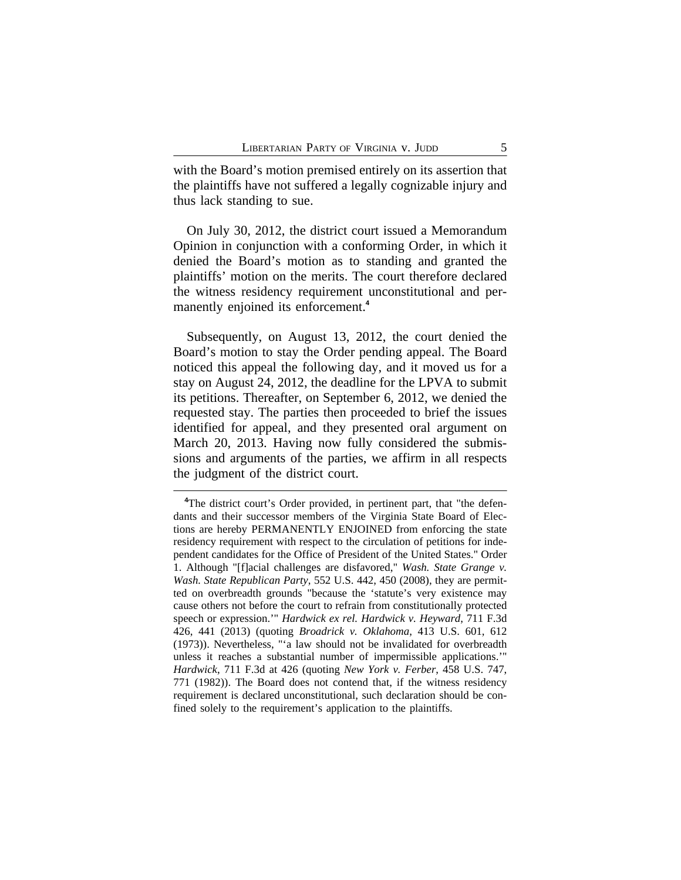with the Board's motion premised entirely on its assertion that the plaintiffs have not suffered a legally cognizable injury and thus lack standing to sue.

On July 30, 2012, the district court issued a Memorandum Opinion in conjunction with a conforming Order, in which it denied the Board's motion as to standing and granted the plaintiffs' motion on the merits. The court therefore declared the witness residency requirement unconstitutional and permanently enjoined its enforcement.**<sup>4</sup>**

Subsequently, on August 13, 2012, the court denied the Board's motion to stay the Order pending appeal. The Board noticed this appeal the following day, and it moved us for a stay on August 24, 2012, the deadline for the LPVA to submit its petitions. Thereafter, on September 6, 2012, we denied the requested stay. The parties then proceeded to brief the issues identified for appeal, and they presented oral argument on March 20, 2013. Having now fully considered the submissions and arguments of the parties, we affirm in all respects the judgment of the district court.

**<sup>4</sup>**The district court's Order provided, in pertinent part, that "the defendants and their successor members of the Virginia State Board of Elections are hereby PERMANENTLY ENJOINED from enforcing the state residency requirement with respect to the circulation of petitions for independent candidates for the Office of President of the United States." Order 1. Although "[f]acial challenges are disfavored," *Wash. State Grange v. Wash. State Republican Party*, 552 U.S. 442, 450 (2008), they are permitted on overbreadth grounds "because the 'statute's very existence may cause others not before the court to refrain from constitutionally protected speech or expression.'" *Hardwick ex rel. Hardwick v. Heyward*, 711 F.3d 426, 441 (2013) (quoting *Broadrick v. Oklahoma*, 413 U.S. 601, 612 (1973)). Nevertheless, "'a law should not be invalidated for overbreadth unless it reaches a substantial number of impermissible applications.'" *Hardwick*, 711 F.3d at 426 (quoting *New York v. Ferber*, 458 U.S. 747, 771 (1982)). The Board does not contend that, if the witness residency requirement is declared unconstitutional, such declaration should be confined solely to the requirement's application to the plaintiffs.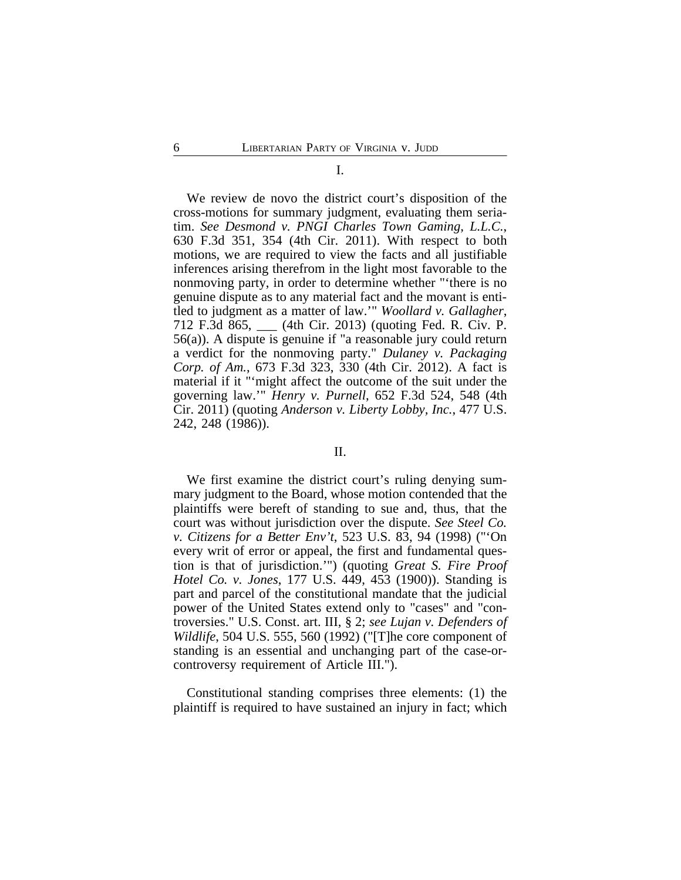#### I.

We review de novo the district court's disposition of the cross-motions for summary judgment, evaluating them seriatim. *See Desmond v. PNGI Charles Town Gaming, L.L.C.*, 630 F.3d 351, 354 (4th Cir. 2011). With respect to both motions, we are required to view the facts and all justifiable inferences arising therefrom in the light most favorable to the nonmoving party, in order to determine whether "'there is no genuine dispute as to any material fact and the movant is entitled to judgment as a matter of law.'" *Woollard v. Gallagher*, 712 F.3d 865, \_\_\_ (4th Cir. 2013) (quoting Fed. R. Civ. P. 56(a)). A dispute is genuine if "a reasonable jury could return a verdict for the nonmoving party." *Dulaney v. Packaging Corp. of Am.*, 673 F.3d 323, 330 (4th Cir. 2012). A fact is material if it "'might affect the outcome of the suit under the governing law.'" *Henry v. Purnell*, 652 F.3d 524, 548 (4th Cir. 2011) (quoting *Anderson v. Liberty Lobby, Inc.*, 477 U.S. 242, 248 (1986)).

## II.

We first examine the district court's ruling denying summary judgment to the Board, whose motion contended that the plaintiffs were bereft of standing to sue and, thus, that the court was without jurisdiction over the dispute. *See Steel Co. v. Citizens for a Better Env't*, 523 U.S. 83, 94 (1998) ("'On every writ of error or appeal, the first and fundamental question is that of jurisdiction.'") (quoting *Great S. Fire Proof Hotel Co. v. Jones*, 177 U.S. 449, 453 (1900)). Standing is part and parcel of the constitutional mandate that the judicial power of the United States extend only to "cases" and "controversies." U.S. Const. art. III, § 2; *see Lujan v. Defenders of Wildlife*, 504 U.S. 555, 560 (1992) ("[T]he core component of standing is an essential and unchanging part of the case-orcontroversy requirement of Article III.").

Constitutional standing comprises three elements: (1) the plaintiff is required to have sustained an injury in fact; which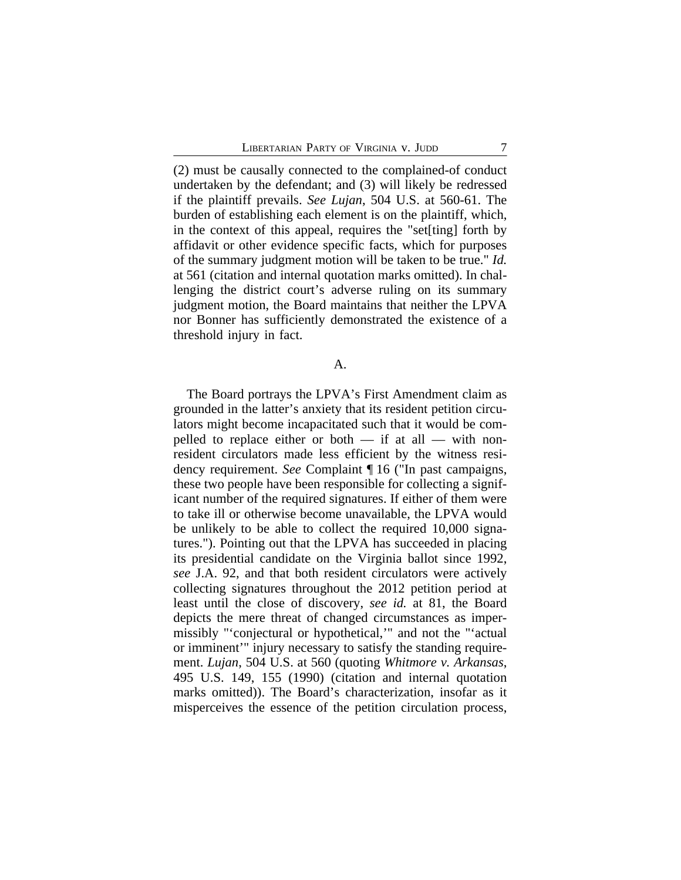(2) must be causally connected to the complained-of conduct undertaken by the defendant; and (3) will likely be redressed if the plaintiff prevails. *See Lujan*, 504 U.S. at 560-61. The burden of establishing each element is on the plaintiff, which, in the context of this appeal, requires the "set[ting] forth by affidavit or other evidence specific facts, which for purposes of the summary judgment motion will be taken to be true." *Id.* at 561 (citation and internal quotation marks omitted). In challenging the district court's adverse ruling on its summary judgment motion, the Board maintains that neither the LPVA nor Bonner has sufficiently demonstrated the existence of a threshold injury in fact.

A.

The Board portrays the LPVA's First Amendment claim as grounded in the latter's anxiety that its resident petition circulators might become incapacitated such that it would be compelled to replace either or both — if at all — with nonresident circulators made less efficient by the witness residency requirement. *See* Complaint ¶ 16 ("In past campaigns, these two people have been responsible for collecting a significant number of the required signatures. If either of them were to take ill or otherwise become unavailable, the LPVA would be unlikely to be able to collect the required 10,000 signatures."). Pointing out that the LPVA has succeeded in placing its presidential candidate on the Virginia ballot since 1992, *see* J.A. 92, and that both resident circulators were actively collecting signatures throughout the 2012 petition period at least until the close of discovery, *see id.* at 81, the Board depicts the mere threat of changed circumstances as impermissibly "'conjectural or hypothetical,'" and not the "'actual or imminent'" injury necessary to satisfy the standing requirement. *Lujan*, 504 U.S. at 560 (quoting *Whitmore v. Arkansas*, 495 U.S. 149, 155 (1990) (citation and internal quotation marks omitted)). The Board's characterization, insofar as it misperceives the essence of the petition circulation process,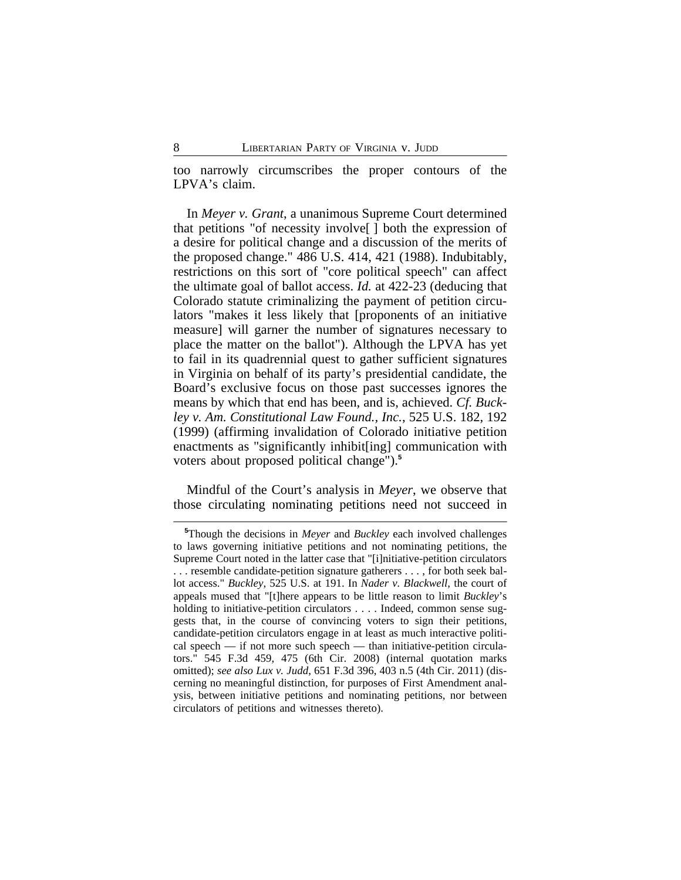too narrowly circumscribes the proper contours of the LPVA's claim.

In *Meyer v. Grant*, a unanimous Supreme Court determined that petitions "of necessity involve[ ] both the expression of a desire for political change and a discussion of the merits of the proposed change." 486 U.S. 414, 421 (1988). Indubitably, restrictions on this sort of "core political speech" can affect the ultimate goal of ballot access. *Id.* at 422-23 (deducing that Colorado statute criminalizing the payment of petition circulators "makes it less likely that [proponents of an initiative measure] will garner the number of signatures necessary to place the matter on the ballot"). Although the LPVA has yet to fail in its quadrennial quest to gather sufficient signatures in Virginia on behalf of its party's presidential candidate, the Board's exclusive focus on those past successes ignores the means by which that end has been, and is, achieved. *Cf. Buckley v. Am. Constitutional Law Found., Inc.*, 525 U.S. 182, 192 (1999) (affirming invalidation of Colorado initiative petition enactments as "significantly inhibit[ing] communication with voters about proposed political change").**<sup>5</sup>**

Mindful of the Court's analysis in *Meyer*, we observe that those circulating nominating petitions need not succeed in

**<sup>5</sup>**Though the decisions in *Meyer* and *Buckley* each involved challenges to laws governing initiative petitions and not nominating petitions, the Supreme Court noted in the latter case that "[i]nitiative-petition circulators . . . resemble candidate-petition signature gatherers . . . , for both seek ballot access." *Buckley*, 525 U.S. at 191. In *Nader v. Blackwell*, the court of appeals mused that "[t]here appears to be little reason to limit *Buckley*'s holding to initiative-petition circulators . . . . Indeed, common sense suggests that, in the course of convincing voters to sign their petitions, candidate-petition circulators engage in at least as much interactive political speech — if not more such speech — than initiative-petition circulators." 545 F.3d 459, 475 (6th Cir. 2008) (internal quotation marks omitted); *see also Lux v. Judd*, 651 F.3d 396, 403 n.5 (4th Cir. 2011) (discerning no meaningful distinction, for purposes of First Amendment analysis, between initiative petitions and nominating petitions, nor between circulators of petitions and witnesses thereto).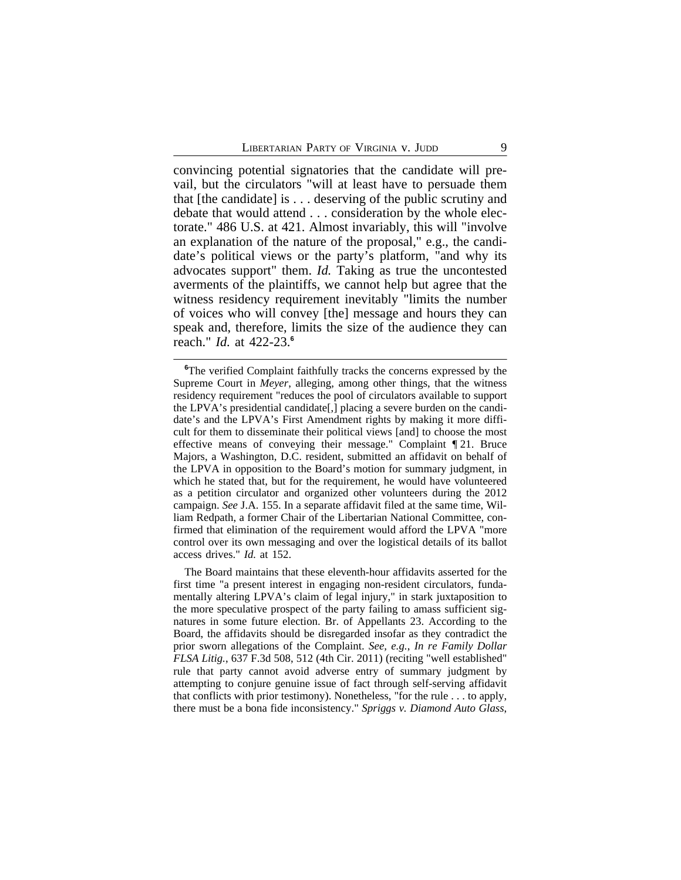convincing potential signatories that the candidate will prevail, but the circulators "will at least have to persuade them that [the candidate] is . . . deserving of the public scrutiny and debate that would attend . . . consideration by the whole electorate." 486 U.S. at 421. Almost invariably, this will "involve an explanation of the nature of the proposal," e.g., the candidate's political views or the party's platform, "and why its advocates support" them. *Id.* Taking as true the uncontested averments of the plaintiffs, we cannot help but agree that the witness residency requirement inevitably "limits the number of voices who will convey [the] message and hours they can speak and, therefore, limits the size of the audience they can reach." *Id.* at 422-23.**<sup>6</sup>**

The Board maintains that these eleventh-hour affidavits asserted for the first time "a present interest in engaging non-resident circulators, fundamentally altering LPVA's claim of legal injury," in stark juxtaposition to the more speculative prospect of the party failing to amass sufficient signatures in some future election. Br. of Appellants 23. According to the Board, the affidavits should be disregarded insofar as they contradict the prior sworn allegations of the Complaint. *See, e.g.*, *In re Family Dollar FLSA Litig.*, 637 F.3d 508, 512 (4th Cir. 2011) (reciting "well established" rule that party cannot avoid adverse entry of summary judgment by attempting to conjure genuine issue of fact through self-serving affidavit that conflicts with prior testimony). Nonetheless, "for the rule . . . to apply, there must be a bona fide inconsistency." *Spriggs v. Diamond Auto Glass*,

**<sup>6</sup>**The verified Complaint faithfully tracks the concerns expressed by the Supreme Court in *Meyer*, alleging, among other things, that the witness residency requirement "reduces the pool of circulators available to support the LPVA's presidential candidate[,] placing a severe burden on the candidate's and the LPVA's First Amendment rights by making it more difficult for them to disseminate their political views [and] to choose the most effective means of conveying their message." Complaint ¶ 21. Bruce Majors, a Washington, D.C. resident, submitted an affidavit on behalf of the LPVA in opposition to the Board's motion for summary judgment, in which he stated that, but for the requirement, he would have volunteered as a petition circulator and organized other volunteers during the 2012 campaign. *See* J.A. 155. In a separate affidavit filed at the same time, William Redpath, a former Chair of the Libertarian National Committee, confirmed that elimination of the requirement would afford the LPVA "more control over its own messaging and over the logistical details of its ballot access drives." *Id.* at 152.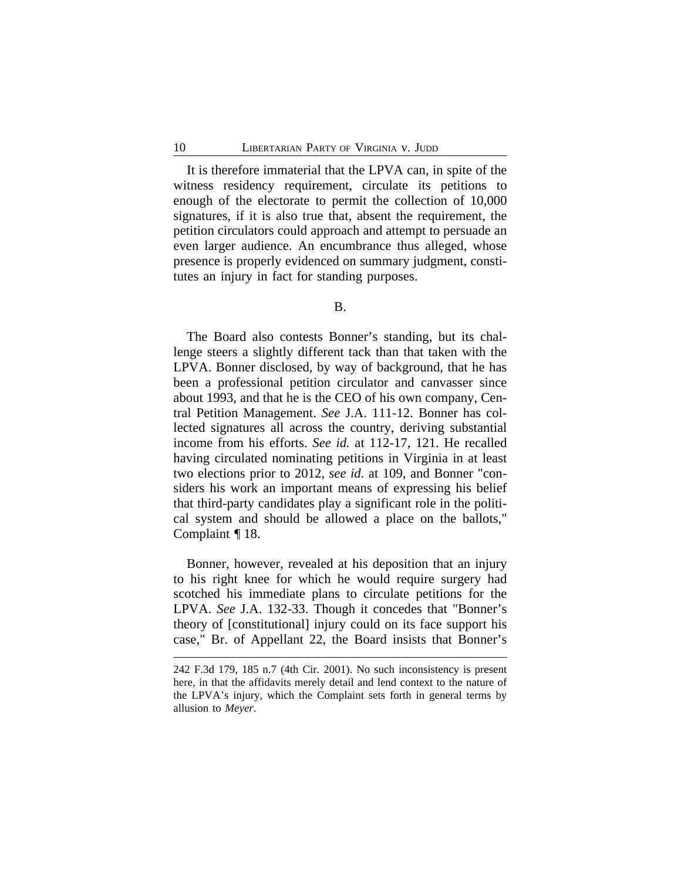It is therefore immaterial that the LPVA can, in spite of the witness residency requirement, circulate its petitions to enough of the electorate to permit the collection of 10,000 signatures, if it is also true that, absent the requirement, the petition circulators could approach and attempt to persuade an even larger audience. An encumbrance thus alleged, whose presence is properly evidenced on summary judgment, constitutes an injury in fact for standing purposes.

## B.

The Board also contests Bonner's standing, but its challenge steers a slightly different tack than that taken with the LPVA. Bonner disclosed, by way of background, that he has been a professional petition circulator and canvasser since about 1993, and that he is the CEO of his own company, Central Petition Management. *See* J.A. 111-12. Bonner has collected signatures all across the country, deriving substantial income from his efforts. *See id.* at 112-17, 121. He recalled having circulated nominating petitions in Virginia in at least two elections prior to 2012, *see id.* at 109, and Bonner "considers his work an important means of expressing his belief that third-party candidates play a significant role in the political system and should be allowed a place on the ballots," Complaint ¶ 18.

Bonner, however, revealed at his deposition that an injury to his right knee for which he would require surgery had scotched his immediate plans to circulate petitions for the LPVA. *See* J.A. 132-33. Though it concedes that "Bonner's theory of [constitutional] injury could on its face support his case," Br. of Appellant 22, the Board insists that Bonner's

<sup>242</sup> F.3d 179, 185 n.7 (4th Cir. 2001). No such inconsistency is present here, in that the affidavits merely detail and lend context to the nature of the LPVA's injury, which the Complaint sets forth in general terms by allusion to *Meyer*.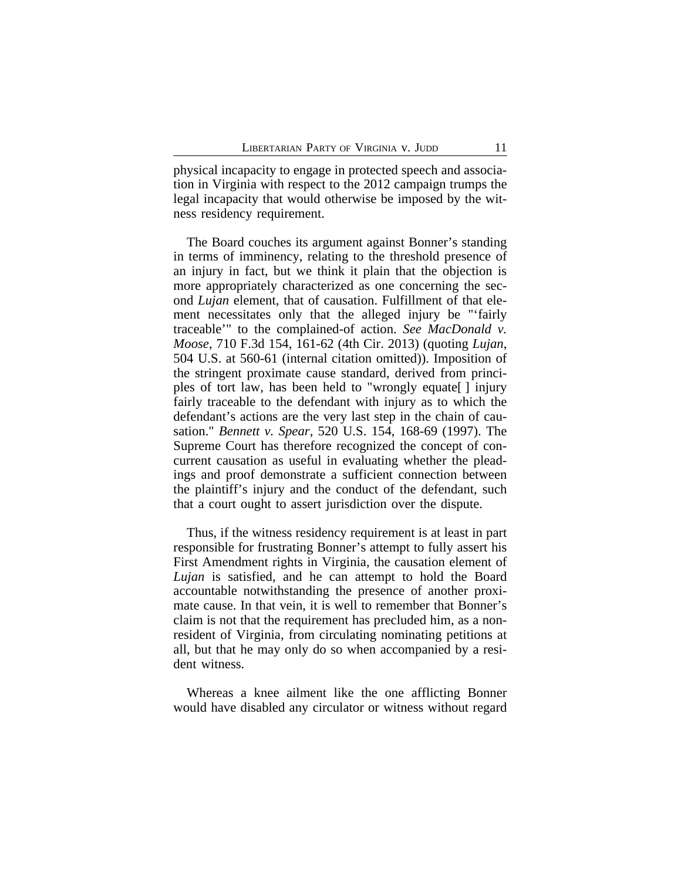physical incapacity to engage in protected speech and association in Virginia with respect to the 2012 campaign trumps the legal incapacity that would otherwise be imposed by the witness residency requirement.

The Board couches its argument against Bonner's standing in terms of imminency, relating to the threshold presence of an injury in fact, but we think it plain that the objection is more appropriately characterized as one concerning the second *Lujan* element, that of causation. Fulfillment of that element necessitates only that the alleged injury be "'fairly traceable'" to the complained-of action. *See MacDonald v. Moose*, 710 F.3d 154, 161-62 (4th Cir. 2013) (quoting *Lujan*, 504 U.S. at 560-61 (internal citation omitted)). Imposition of the stringent proximate cause standard, derived from principles of tort law, has been held to "wrongly equate[ ] injury fairly traceable to the defendant with injury as to which the defendant's actions are the very last step in the chain of causation." *Bennett v. Spear*, 520 U.S. 154, 168-69 (1997). The Supreme Court has therefore recognized the concept of concurrent causation as useful in evaluating whether the pleadings and proof demonstrate a sufficient connection between the plaintiff's injury and the conduct of the defendant, such that a court ought to assert jurisdiction over the dispute.

Thus, if the witness residency requirement is at least in part responsible for frustrating Bonner's attempt to fully assert his First Amendment rights in Virginia, the causation element of *Lujan* is satisfied, and he can attempt to hold the Board accountable notwithstanding the presence of another proximate cause. In that vein, it is well to remember that Bonner's claim is not that the requirement has precluded him, as a nonresident of Virginia, from circulating nominating petitions at all, but that he may only do so when accompanied by a resident witness.

Whereas a knee ailment like the one afflicting Bonner would have disabled any circulator or witness without regard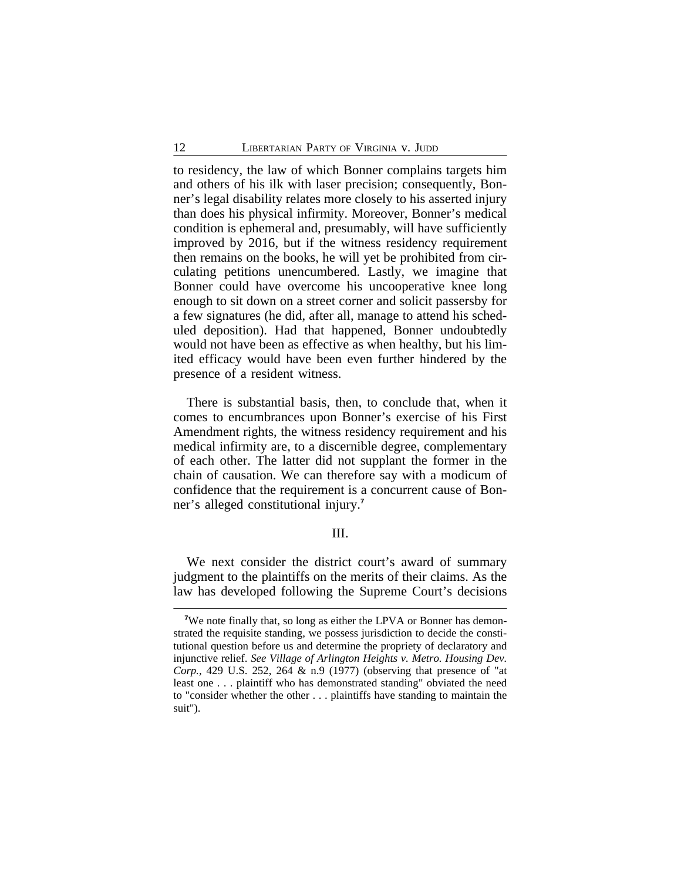to residency, the law of which Bonner complains targets him and others of his ilk with laser precision; consequently, Bonner's legal disability relates more closely to his asserted injury than does his physical infirmity. Moreover, Bonner's medical condition is ephemeral and, presumably, will have sufficiently improved by 2016, but if the witness residency requirement then remains on the books, he will yet be prohibited from circulating petitions unencumbered. Lastly, we imagine that Bonner could have overcome his uncooperative knee long enough to sit down on a street corner and solicit passersby for a few signatures (he did, after all, manage to attend his scheduled deposition). Had that happened, Bonner undoubtedly would not have been as effective as when healthy, but his limited efficacy would have been even further hindered by the presence of a resident witness.

There is substantial basis, then, to conclude that, when it comes to encumbrances upon Bonner's exercise of his First Amendment rights, the witness residency requirement and his medical infirmity are, to a discernible degree, complementary of each other. The latter did not supplant the former in the chain of causation. We can therefore say with a modicum of confidence that the requirement is a concurrent cause of Bonner's alleged constitutional injury.**<sup>7</sup>**

#### III.

We next consider the district court's award of summary judgment to the plaintiffs on the merits of their claims. As the law has developed following the Supreme Court's decisions

<sup>&</sup>lt;sup>7</sup>We note finally that, so long as either the LPVA or Bonner has demonstrated the requisite standing, we possess jurisdiction to decide the constitutional question before us and determine the propriety of declaratory and injunctive relief. *See Village of Arlington Heights v. Metro. Housing Dev. Corp.*, 429 U.S. 252, 264 & n.9 (1977) (observing that presence of "at least one . . . plaintiff who has demonstrated standing" obviated the need to "consider whether the other . . . plaintiffs have standing to maintain the suit").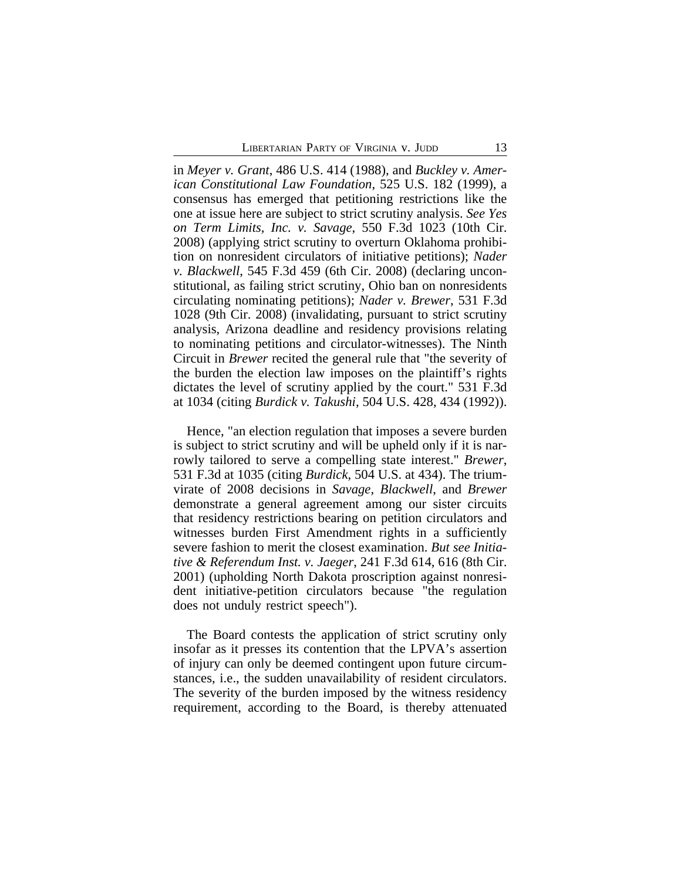in *Meyer v. Grant*, 486 U.S. 414 (1988), and *Buckley v. American Constitutional Law Foundation*, 525 U.S. 182 (1999), a consensus has emerged that petitioning restrictions like the one at issue here are subject to strict scrutiny analysis. *See Yes on Term Limits, Inc. v. Savage*, 550 F.3d 1023 (10th Cir. 2008) (applying strict scrutiny to overturn Oklahoma prohibition on nonresident circulators of initiative petitions); *Nader v. Blackwell*, 545 F.3d 459 (6th Cir. 2008) (declaring unconstitutional, as failing strict scrutiny, Ohio ban on nonresidents circulating nominating petitions); *Nader v. Brewer*, 531 F.3d 1028 (9th Cir. 2008) (invalidating, pursuant to strict scrutiny analysis, Arizona deadline and residency provisions relating to nominating petitions and circulator-witnesses). The Ninth Circuit in *Brewer* recited the general rule that "the severity of the burden the election law imposes on the plaintiff's rights dictates the level of scrutiny applied by the court." 531 F.3d at 1034 (citing *Burdick v. Takushi*, 504 U.S. 428, 434 (1992)).

Hence, "an election regulation that imposes a severe burden is subject to strict scrutiny and will be upheld only if it is narrowly tailored to serve a compelling state interest." *Brewer*, 531 F.3d at 1035 (citing *Burdick*, 504 U.S. at 434). The triumvirate of 2008 decisions in *Savage*, *Blackwell*, and *Brewer* demonstrate a general agreement among our sister circuits that residency restrictions bearing on petition circulators and witnesses burden First Amendment rights in a sufficiently severe fashion to merit the closest examination. *But see Initiative & Referendum Inst. v. Jaeger*, 241 F.3d 614, 616 (8th Cir. 2001) (upholding North Dakota proscription against nonresident initiative-petition circulators because "the regulation does not unduly restrict speech").

The Board contests the application of strict scrutiny only insofar as it presses its contention that the LPVA's assertion of injury can only be deemed contingent upon future circumstances, i.e., the sudden unavailability of resident circulators. The severity of the burden imposed by the witness residency requirement, according to the Board, is thereby attenuated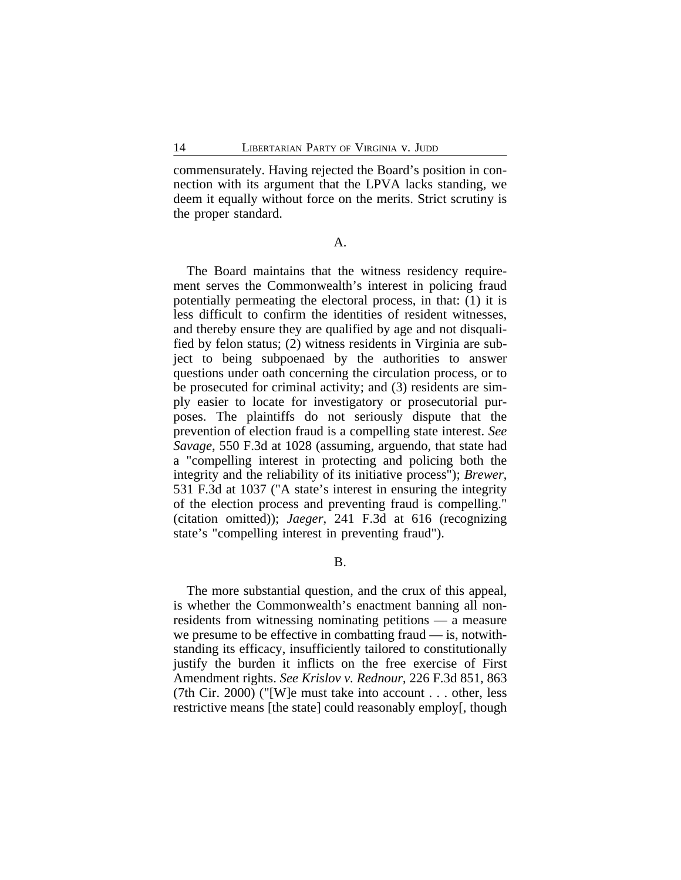commensurately. Having rejected the Board's position in connection with its argument that the LPVA lacks standing, we deem it equally without force on the merits. Strict scrutiny is the proper standard.

A.

The Board maintains that the witness residency requirement serves the Commonwealth's interest in policing fraud potentially permeating the electoral process, in that: (1) it is less difficult to confirm the identities of resident witnesses, and thereby ensure they are qualified by age and not disqualified by felon status; (2) witness residents in Virginia are subject to being subpoenaed by the authorities to answer questions under oath concerning the circulation process, or to be prosecuted for criminal activity; and (3) residents are simply easier to locate for investigatory or prosecutorial purposes. The plaintiffs do not seriously dispute that the prevention of election fraud is a compelling state interest. *See Savage*, 550 F.3d at 1028 (assuming, arguendo, that state had a "compelling interest in protecting and policing both the integrity and the reliability of its initiative process"); *Brewer*, 531 F.3d at 1037 ("A state's interest in ensuring the integrity of the election process and preventing fraud is compelling." (citation omitted)); *Jaeger*, 241 F.3d at 616 (recognizing state's "compelling interest in preventing fraud").

B.

The more substantial question, and the crux of this appeal, is whether the Commonwealth's enactment banning all nonresidents from witnessing nominating petitions — a measure we presume to be effective in combatting fraud — is, notwithstanding its efficacy, insufficiently tailored to constitutionally justify the burden it inflicts on the free exercise of First Amendment rights. *See Krislov v. Rednour*, 226 F.3d 851, 863 (7th Cir. 2000) ("[W]e must take into account . . . other, less restrictive means [the state] could reasonably employ[, though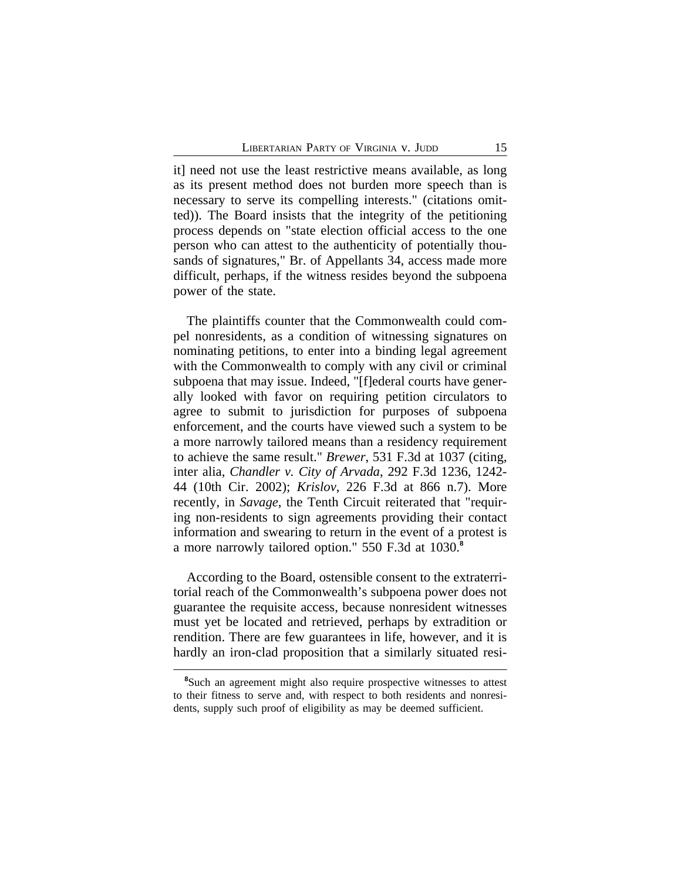it] need not use the least restrictive means available, as long as its present method does not burden more speech than is necessary to serve its compelling interests." (citations omitted)). The Board insists that the integrity of the petitioning process depends on "state election official access to the one person who can attest to the authenticity of potentially thousands of signatures," Br. of Appellants 34, access made more difficult, perhaps, if the witness resides beyond the subpoena power of the state.

The plaintiffs counter that the Commonwealth could compel nonresidents, as a condition of witnessing signatures on nominating petitions, to enter into a binding legal agreement with the Commonwealth to comply with any civil or criminal subpoena that may issue. Indeed, "[f]ederal courts have generally looked with favor on requiring petition circulators to agree to submit to jurisdiction for purposes of subpoena enforcement, and the courts have viewed such a system to be a more narrowly tailored means than a residency requirement to achieve the same result." *Brewer*, 531 F.3d at 1037 (citing, inter alia, *Chandler v. City of Arvada*, 292 F.3d 1236, 1242- 44 (10th Cir. 2002); *Krislov*, 226 F.3d at 866 n.7). More recently, in *Savage*, the Tenth Circuit reiterated that "requiring non-residents to sign agreements providing their contact information and swearing to return in the event of a protest is a more narrowly tailored option." 550 F.3d at 1030.**<sup>8</sup>**

According to the Board, ostensible consent to the extraterritorial reach of the Commonwealth's subpoena power does not guarantee the requisite access, because nonresident witnesses must yet be located and retrieved, perhaps by extradition or rendition. There are few guarantees in life, however, and it is hardly an iron-clad proposition that a similarly situated resi-

**<sup>8</sup>**Such an agreement might also require prospective witnesses to attest to their fitness to serve and, with respect to both residents and nonresidents, supply such proof of eligibility as may be deemed sufficient.